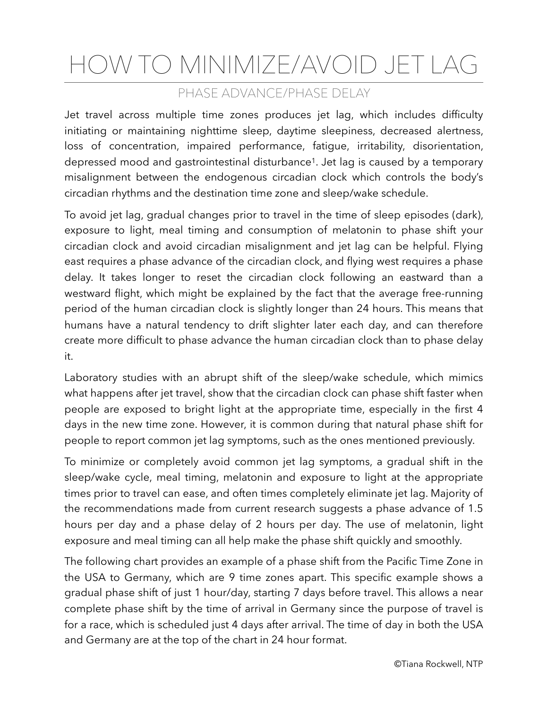## HOW TO MINIMIZE/AVOID JET LAG

## PHASE ADVANCE/PHASE DELAY

Jet travel across multiple time zones produces jet lag, which includes difficulty initiating or maintaining nighttime sleep, daytime sleepiness, decreased alertness, loss of concentration, impaired performance, fatigue, irritability, disorientation, depressed mood and gastrointestinal disturbance1. Jet lag is caused by a temporary misalignment between the endogenous circadian clock which controls the body's circadian rhythms and the destination time zone and sleep/wake schedule.

To avoid jet lag, gradual changes prior to travel in the time of sleep episodes (dark), exposure to light, meal timing and consumption of melatonin to phase shift your circadian clock and avoid circadian misalignment and jet lag can be helpful. Flying east requires a phase advance of the circadian clock, and flying west requires a phase delay. It takes longer to reset the circadian clock following an eastward than a westward flight, which might be explained by the fact that the average free-running period of the human circadian clock is slightly longer than 24 hours. This means that humans have a natural tendency to drift slighter later each day, and can therefore create more difficult to phase advance the human circadian clock than to phase delay it.

Laboratory studies with an abrupt shift of the sleep/wake schedule, which mimics what happens after jet travel, show that the circadian clock can phase shift faster when people are exposed to bright light at the appropriate time, especially in the first 4 days in the new time zone. However, it is common during that natural phase shift for people to report common jet lag symptoms, such as the ones mentioned previously.

To minimize or completely avoid common jet lag symptoms, a gradual shift in the sleep/wake cycle, meal timing, melatonin and exposure to light at the appropriate times prior to travel can ease, and often times completely eliminate jet lag. Majority of the recommendations made from current research suggests a phase advance of 1.5 hours per day and a phase delay of 2 hours per day. The use of melatonin, light exposure and meal timing can all help make the phase shift quickly and smoothly.

The following chart provides an example of a phase shift from the Pacific Time Zone in the USA to Germany, which are 9 time zones apart. This specific example shows a gradual phase shift of just 1 hour/day, starting 7 days before travel. This allows a near complete phase shift by the time of arrival in Germany since the purpose of travel is for a race, which is scheduled just 4 days after arrival. The time of day in both the USA and Germany are at the top of the chart in 24 hour format.